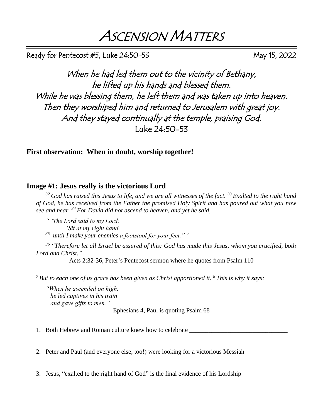ASCENSION MATTERS

Ready for Pentecost  $#5$ , Luke  $24:50-53$  May 15, 2022

When he had led them out to the vicinity of Bethany, he lifted up his hands and blessed them. While he was blessing them, he left them and was taken up into heaven. Then they worshiped him and returned to Jerusalem with great joy. And they stayed continually at the temple, praising God. Luke 24:50-53

**First observation: When in doubt, worship together!**

## **Image #1: Jesus really is the victorious Lord**

*<sup>32</sup>God has raised this Jesus to life, and we are all witnesses of the fact. <sup>33</sup>Exalted to the right hand of God, he has received from the Father the promised Holy Spirit and has poured out what you now see and hear. <sup>34</sup>For David did not ascend to heaven, and yet he said,* 

*" 'The Lord said to my Lord: "Sit at my right hand 35 until I make your enemies a footstool for your feet." '*

*<sup>36</sup>"Therefore let all Israel be assured of this: God has made this Jesus, whom you crucified, both Lord and Christ."*

Acts 2:32-36, Peter's Pentecost sermon where he quotes from Psalm 110

*<sup>7</sup>But to each one of us grace has been given as Christ apportioned it. <sup>8</sup>This is why it says:* 

*"When he ascended on high, he led captives in his train and gave gifts to men."* Ephesians 4, Paul is quoting Psalm 68

1. Both Hebrew and Roman culture knew how to celebrate

2. Peter and Paul (and everyone else, too!) were looking for a victorious Messiah

3. Jesus, "exalted to the right hand of God" is the final evidence of his Lordship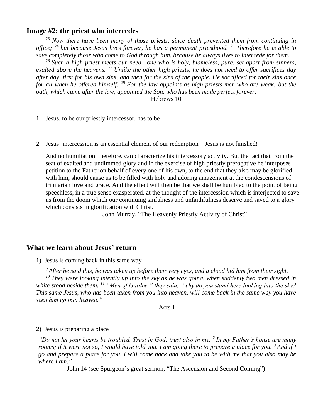## **Image #2: the priest who intercedes**

*<sup>23</sup>Now there have been many of those priests, since death prevented them from continuing in office; <sup>24</sup>but because Jesus lives forever, he has a permanent priesthood. <sup>25</sup>Therefore he is able to save completely those who come to God through him, because he always lives to intercede for them.* 

*<sup>26</sup>Such a high priest meets our need—one who is holy, blameless, pure, set apart from sinners, exalted above the heavens. <sup>27</sup>Unlike the other high priests, he does not need to offer sacrifices day after day, first for his own sins, and then for the sins of the people. He sacrificed for their sins once for all when he offered himself. <sup>28</sup>For the law appoints as high priests men who are weak; but the oath, which came after the law, appointed the Son, who has been made perfect forever.*

Hebrews 10

1. Jesus, to be our priestly intercessor, has to be

2. Jesus' intercession is an essential element of our redemption – Jesus is not finished!

And no humiliation, therefore, can characterize his intercessory activity. But the fact that from the seat of exalted and undimmed glory and in the exercise of high priestly prerogative he interposes petition to the Father on behalf of every one of his own, to the end that they also may be glorified with him, should cause us to be filled with holy and adoring amazement at the condescensions of trinitarian love and grace. And the effect will then be that we shall be humbled to the point of being speechless, in a true sense exasperated, at the thought of the intercession which is interjected to save us from the doom which our continuing sinfulness and unfaithfulness deserve and saved to a glory which consists in glorification with Christ.

John Murray, "The Heavenly Priestly Activity of Christ"

## **What we learn about Jesus' return**

1) Jesus is coming back in this same way

*<sup>9</sup>After he said this, he was taken up before their very eyes, and a cloud hid him from their sight. <sup>10</sup>They were looking intently up into the sky as he was going, when suddenly two men dressed in white stood beside them. <sup>11</sup>"Men of Galilee," they said, "why do you stand here looking into the sky? This same Jesus, who has been taken from you into heaven, will come back in the same way you have seen him go into heaven."*

Acts 1

#### 2) Jesus is preparing a place

*"Do not let your hearts be troubled. Trust in God; trust also in me. <sup>2</sup>In my Father's house are many rooms; if it were not so, I would have told you. I am going there to prepare a place for you. <sup>3</sup>And if I go and prepare a place for you, I will come back and take you to be with me that you also may be where I am."*

John 14 (see Spurgeon's great sermon, "The Ascension and Second Coming")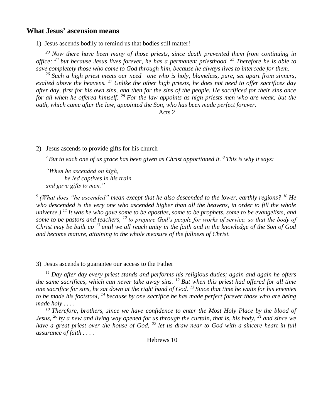### **What Jesus' ascension means**

1) Jesus ascends bodily to remind us that bodies still matter!

*<sup>23</sup>Now there have been many of those priests, since death prevented them from continuing in office; <sup>24</sup>but because Jesus lives forever, he has a permanent priesthood. <sup>25</sup>Therefore he is able to save completely those who come to God through him, because he always lives to intercede for them.* 

*<sup>26</sup>Such a high priest meets our need—one who is holy, blameless, pure, set apart from sinners, exalted above the heavens. <sup>27</sup>Unlike the other high priests, he does not need to offer sacrifices day after day, first for his own sins, and then for the sins of the people. He sacrificed for their sins once for all when he offered himself. <sup>28</sup>For the law appoints as high priests men who are weak; but the oath, which came after the law, appointed the Son, who has been made perfect forever.*

Acts 2

#### 2) Jesus ascends to provide gifts for his church

*<sup>7</sup>But to each one of us grace has been given as Christ apportioned it. <sup>8</sup>This is why it says:* 

*"When he ascended on high, he led captives in his train and gave gifts to men."*

*<sup>9</sup>(What does "he ascended" mean except that he also descended to the lower, earthly regions? <sup>10</sup>He who descended is the very one who ascended higher than all the heavens, in order to fill the whole universe.) <sup>11</sup>It was he who gave some to be apostles, some to be prophets, some to be evangelists, and some to be pastors and teachers, <sup>12</sup>to prepare God's people for works of service, so that the body of Christ may be built up <sup>13</sup>until we all reach unity in the faith and in the knowledge of the Son of God and become mature, attaining to the whole measure of the fullness of Christ.*

#### 3) Jesus ascends to guarantee our access to the Father

*<sup>11</sup>Day after day every priest stands and performs his religious duties; again and again he offers the same sacrifices, which can never take away sins. <sup>12</sup>But when this priest had offered for all time one sacrifice for sins, he sat down at the right hand of God. <sup>13</sup>Since that time he waits for his enemies to be made his footstool, <sup>14</sup>because by one sacrifice he has made perfect forever those who are being made holy . . . .*

*<sup>19</sup>Therefore, brothers, since we have confidence to enter the Most Holy Place by the blood of Jesus, <sup>20</sup>by a new and living way opened for us through the curtain, that is, his body, <sup>21</sup>and since we have a great priest over the house of God, <sup>22</sup>let us draw near to God with a sincere heart in full assurance of faith . . . .*

Hebrews 10